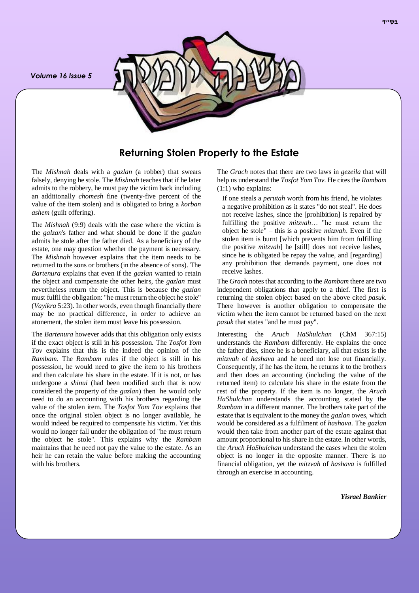*Volume 16 Issue 5*



# **Returning Stolen Property to the Estate**

The *Mishnah* deals with a *gazlan* (a robber) that swears falsely, denying he stole. The *Mishnah* teaches that if he later admits to the robbery, he must pay the victim back including an additionally *chomesh* fine (twenty-five percent of the value of the item stolen) and is obligated to bring a *korban ashem* (guilt offering).

The *Mishnah* (9:9) deals with the case where the victim is the *galzan*'s father and what should be done if the *gazlan* admits he stole after the father died. As a beneficiary of the estate, one may question whether the payment is necessary. The *Mishnah* however explains that the item needs to be returned to the sons or brothers (in the absence of sons). The *Bartenura* explains that even if the *gazlan* wanted to retain the object and compensate the other heirs, the *gazlan* must nevertheless return the object. This is because the *gazlan* must fulfil the obligation: "he must return the object he stole" (*Vayikra* 5:23). In other words, even though financially there may be no practical difference, in order to achieve an atonement, the stolen item must leave his possession.

The *Bartenura* however adds that this obligation only exists if the exact object is still in his possession. The *Tosfot Yom Tov* explains that this is the indeed the opinion of the *Rambam*. The *Rambam* rules if the object is still in his possession, he would need to give the item to his brothers and then calculate his share in the estate. If it is not, or has undergone a *shinui* (had been modified such that is now considered the property of the *gazlan*) then he would only need to do an accounting with his brothers regarding the value of the stolen item. The *Tosfot Yom Tov* explains that once the original stolen object is no longer available, he would indeed be required to compensate his victim. Yet this would no longer fall under the obligation of "he must return the object he stole". This explains why the *Rambam* maintains that he need not pay the value to the estate. As an heir he can retain the value before making the accounting with his brothers.

The *Grach* notes that there are two laws in *gezeila* that will help us understand the *Tosfot Yom Tov*. He cites the *Rambam* (1:1) who explains:

If one steals a *perutah* worth from his friend, he violates a negative prohibition as it states "do not steal". He does not receive lashes, since the [prohibition] is repaired by fulfilling the positive *mitzvah*… "he must return the object he stole" – this is a positive *mitzvah*. Even if the stolen item is burnt [which prevents him from fulfilling the positive *mitzvah*] he [still] does not receive lashes, since he is obligated be repay the value, and [regarding] any prohibition that demands payment, one does not receive lashes.

The *Grach* notes that according to the *Rambam* there are two independent obligations that apply to a thief. The first is returning the stolen object based on the above cited *pasuk*. There however is another obligation to compensate the victim when the item cannot be returned based on the next *pasuk* that states "and he must pay".

Interesting the *Aruch HaShulchan* (ChM 367:15) understands the *Rambam* differently. He explains the once the father dies, since he is a beneficiary, all that exists is the *mitzvah* of *hashava* and he need not lose out financially. Consequently, if he has the item, he returns it to the brothers and then does an accounting (including the value of the returned item) to calculate his share in the estate from the rest of the property. If the item is no longer, the *Aruch HaShulchan* understands the accounting stated by the *Rambam* in a different manner. The brothers take part of the estate that is equivalent to the money the *gazlan* owes, which would be considered as a fulfilment of *hashava*. The *gazlan* would then take from another part of the estate against that amount proportional to his share in the estate. In other words, the *Aruch HaShulchan* understand the cases when the stolen object is no longer in the opposite manner. There is no financial obligation, yet the *mitzvah* of *hashava* is fulfilled through an exercise in accounting.

*Yisrael Bankier*